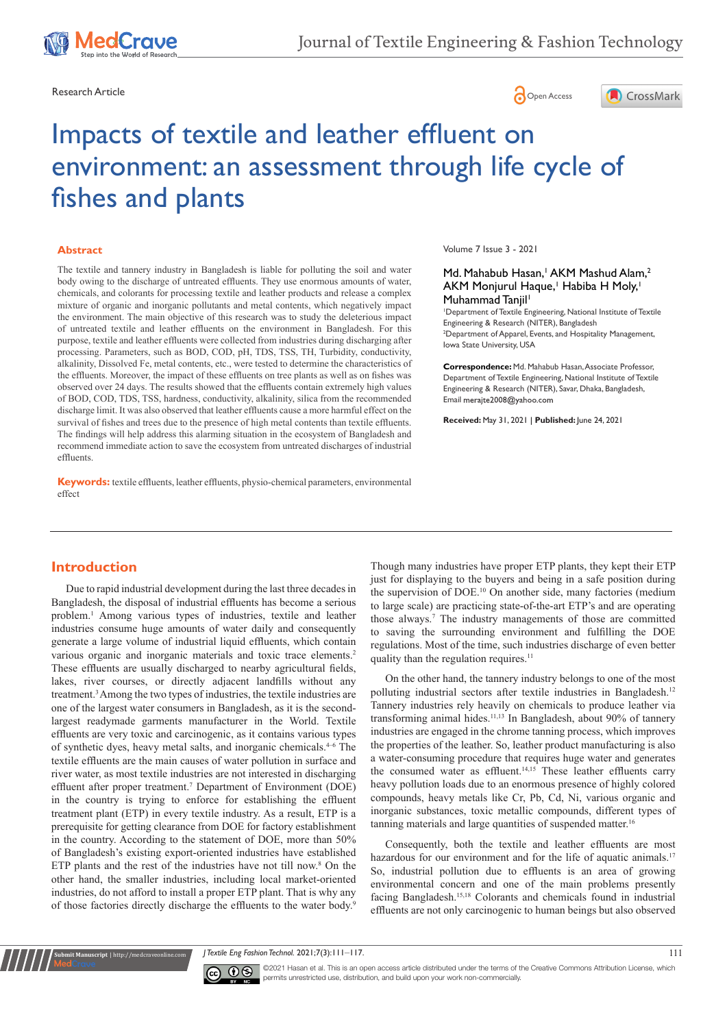





# Impacts of textile and leather effluent on environment: an assessment through life cycle of fishes and plants

#### **Abstract**

The textile and tannery industry in Bangladesh is liable for polluting the soil and water body owing to the discharge of untreated effluents. They use enormous amounts of water, chemicals, and colorants for processing textile and leather products and release a complex mixture of organic and inorganic pollutants and metal contents, which negatively impact the environment. The main objective of this research was to study the deleterious impact of untreated textile and leather effluents on the environment in Bangladesh. For this purpose, textile and leather effluents were collected from industries during discharging after processing. Parameters, such as BOD, COD, pH, TDS, TSS, TH, Turbidity, conductivity, alkalinity, Dissolved Fe, metal contents, etc., were tested to determine the characteristics of the effluents. Moreover, the impact of these effluents on tree plants as well as on fishes was observed over 24 days. The results showed that the effluents contain extremely high values of BOD, COD, TDS, TSS, hardness, conductivity, alkalinity, silica from the recommended discharge limit. It was also observed that leather effluents cause a more harmful effect on the survival of fishes and trees due to the presence of high metal contents than textile effluents. The findings will help address this alarming situation in the ecosystem of Bangladesh and recommend immediate action to save the ecosystem from untreated discharges of industrial effluents.

**Keywords:** textile effluents, leather effluents, physio-chemical parameters, environmental effect

Volume 7 Issue 3 - 2021

#### Md. Mahabub Hasan,<sup>1</sup> AKM Mashud Alam,<sup>2</sup> AKM Monjurul Haque,<sup>1</sup> Habiba H Moly,<sup>1</sup> Muhammad Tanjil<sup>1</sup>

1 Department of Textile Engineering, National Institute of Textile Engineering & Research (NITER), Bangladesh <sup>2</sup> Department of Apparel, Events, and Hospitality Management, Iowa State University, USA

**Correspondence:** Md. Mahabub Hasan, Associate Professor, Department of Textile Engineering, National Institute of Textile Engineering & Research (NITER), Savar, Dhaka, Bangladesh, Email merajte2008@yahoo.com

**Received:** May 31, 2021 | **Published:** June 24, 2021

### **Introduction**

Due to rapid industrial development during the last three decades in Bangladesh, the disposal of industrial effluents has become a serious problem.<sup>1</sup> Among various types of industries, textile and leather industries consume huge amounts of water daily and consequently generate a large volume of industrial liquid effluents, which contain various organic and inorganic materials and toxic trace elements.<sup>2</sup> These effluents are usually discharged to nearby agricultural fields, lakes, river courses, or directly adjacent landfills without any treatment.3 Among the two types of industries, the textile industries are one of the largest water consumers in Bangladesh, as it is the secondlargest readymade garments manufacturer in the World. Textile effluents are very toxic and carcinogenic, as it contains various types of synthetic dyes, heavy metal salts, and inorganic chemicals.4–6 The textile effluents are the main causes of water pollution in surface and river water, as most textile industries are not interested in discharging effluent after proper treatment.<sup>7</sup> Department of Environment (DOE) in the country is trying to enforce for establishing the effluent treatment plant (ETP) in every textile industry. As a result, ETP is a prerequisite for getting clearance from DOE for factory establishment in the country. According to the statement of DOE, more than 50% of Bangladesh's existing export-oriented industries have established ETP plants and the rest of the industries have not till now.<sup>8</sup> On the other hand, the smaller industries, including local market-oriented industries, do not afford to install a proper ETP plant. That is why any of those factories directly discharge the effluents to the water body.<sup>9</sup>

Though many industries have proper ETP plants, they kept their ETP just for displaying to the buyers and being in a safe position during the supervision of DOE.<sup>10</sup> On another side, many factories (medium to large scale) are practicing state-of-the-art ETP's and are operating those always.<sup>7</sup> The industry managements of those are committed to saving the surrounding environment and fulfilling the DOE regulations. Most of the time, such industries discharge of even better quality than the regulation requires.<sup>11</sup>

On the other hand, the tannery industry belongs to one of the most polluting industrial sectors after textile industries in Bangladesh.<sup>12</sup> Tannery industries rely heavily on chemicals to produce leather via transforming animal hides.11,13 In Bangladesh, about 90% of tannery industries are engaged in the chrome tanning process, which improves the properties of the leather. So, leather product manufacturing is also a water-consuming procedure that requires huge water and generates the consumed water as effluent.<sup>14,15</sup> These leather effluents carry heavy pollution loads due to an enormous presence of highly colored compounds, heavy metals like Cr, Pb, Cd, Ni, various organic and inorganic substances, toxic metallic compounds, different types of tanning materials and large quantities of suspended matter.<sup>16</sup>

Consequently, both the textile and leather effluents are most hazardous for our environment and for the life of aquatic animals.<sup>17</sup> So, industrial pollution due to effluents is an area of growing environmental concern and one of the main problems presently facing Bangladesh.15,18 Colorants and chemicals found in industrial effluents are not only carcinogenic to human beings but also observed

*J Textile Eng Fashion Technol.* 2021;7(3):111‒117. 111



**it Manuscript** | http://medcraveonline.

©2021 Hasan et al. This is an open access article distributed under the terms of the [Creative Commons Attribution License,](https://creativecommons.org/licenses/by-nc/4.0/) which permits unrestricted use, distribution, and build upon your work non-commercially.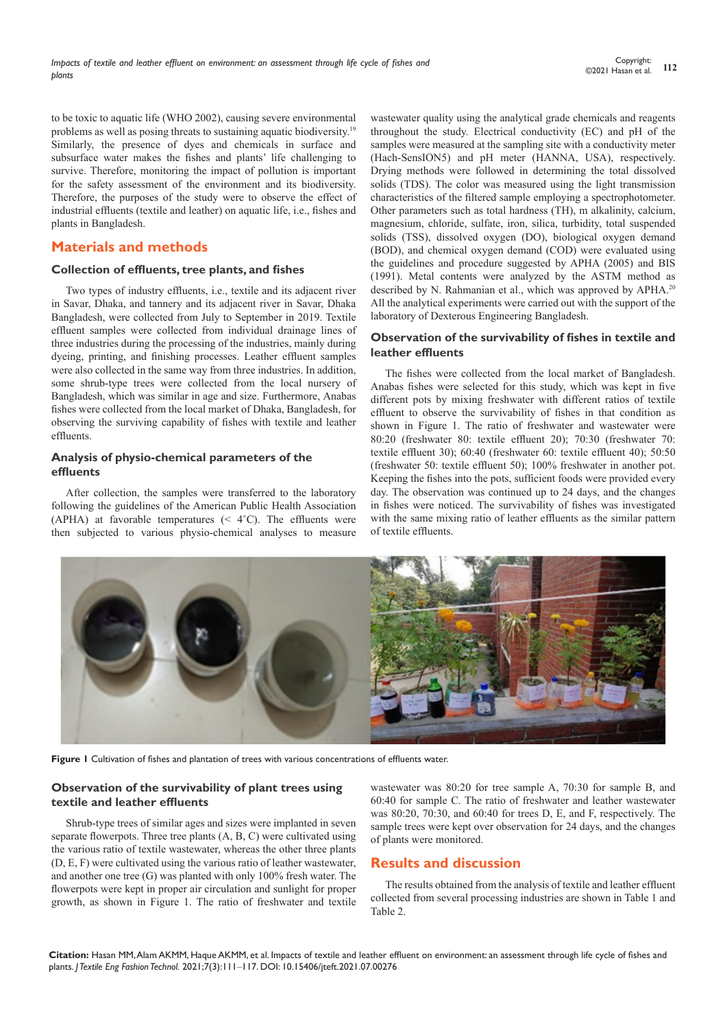to be toxic to aquatic life (WHO 2002), causing severe environmental problems as well as posing threats to sustaining aquatic biodiversity.<sup>19</sup> Similarly, the presence of dyes and chemicals in surface and subsurface water makes the fishes and plants' life challenging to survive. Therefore, monitoring the impact of pollution is important for the safety assessment of the environment and its biodiversity. Therefore, the purposes of the study were to observe the effect of industrial effluents (textile and leather) on aquatic life, i.e., fishes and plants in Bangladesh.

# **Materials and methods**

#### **Collection of effluents, tree plants, and fishes**

Two types of industry effluents, i.e., textile and its adjacent river in Savar, Dhaka, and tannery and its adjacent river in Savar, Dhaka Bangladesh, were collected from July to September in 2019. Textile effluent samples were collected from individual drainage lines of three industries during the processing of the industries, mainly during dyeing, printing, and finishing processes. Leather effluent samples were also collected in the same way from three industries. In addition, some shrub-type trees were collected from the local nursery of Bangladesh, which was similar in age and size. Furthermore, Anabas fishes were collected from the local market of Dhaka, Bangladesh, for observing the surviving capability of fishes with textile and leather effluents.

# **Analysis of physio-chemical parameters of the effluents**

After collection, the samples were transferred to the laboratory following the guidelines of the American Public Health Association (APHA) at favorable temperatures  $( $4^{\circ}C$ ). The effuents were$ then subjected to various physio-chemical analyses to measure

wastewater quality using the analytical grade chemicals and reagents throughout the study. Electrical conductivity (EC) and pH of the samples were measured at the sampling site with a conductivity meter (Hach-SensION5) and pH meter (HANNA, USA), respectively. Drying methods were followed in determining the total dissolved solids (TDS). The color was measured using the light transmission characteristics of the filtered sample employing a spectrophotometer. Other parameters such as total hardness (TH), m alkalinity, calcium, magnesium, chloride, sulfate, iron, silica, turbidity, total suspended solids (TSS), dissolved oxygen (DO), biological oxygen demand (BOD), and chemical oxygen demand (COD) were evaluated using the guidelines and procedure suggested by APHA (2005) and BIS (1991). Metal contents were analyzed by the ASTM method as described by N. Rahmanian et al., which was approved by APHA.<sup>20</sup> All the analytical experiments were carried out with the support of the laboratory of Dexterous Engineering Bangladesh.

#### **Observation of the survivability of fishes in textile and leather effluents**

The fishes were collected from the local market of Bangladesh. Anabas fishes were selected for this study, which was kept in five different pots by mixing freshwater with different ratios of textile effluent to observe the survivability of fishes in that condition as shown in Figure 1. The ratio of freshwater and wastewater were 80:20 (freshwater 80: textile effluent 20); 70:30 (freshwater 70: textile effluent 30); 60:40 (freshwater 60: textile effluent 40); 50:50 (freshwater 50: textile effluent 50); 100% freshwater in another pot. Keeping the fishes into the pots, sufficient foods were provided every day. The observation was continued up to 24 days, and the changes in fishes were noticed. The survivability of fishes was investigated with the same mixing ratio of leather effluents as the similar pattern of textile effluents.



**Figure 1** Cultivation of fishes and plantation of trees with various concentrations of effluents water.

# **Observation of the survivability of plant trees using textile and leather effluents**

Shrub-type trees of similar ages and sizes were implanted in seven separate flowerpots. Three tree plants (A, B, C) were cultivated using the various ratio of textile wastewater, whereas the other three plants (D, E, F) were cultivated using the various ratio of leather wastewater, and another one tree (G) was planted with only 100% fresh water. The flowerpots were kept in proper air circulation and sunlight for proper growth, as shown in Figure 1. The ratio of freshwater and textile wastewater was 80:20 for tree sample A, 70:30 for sample B, and 60:40 for sample C. The ratio of freshwater and leather wastewater was 80:20, 70:30, and 60:40 for trees D, E, and F, respectively. The sample trees were kept over observation for 24 days, and the changes of plants were monitored.

# **Results and discussion**

The results obtained from the analysis of textile and leather effluent collected from several processing industries are shown in Table 1 and Table 2.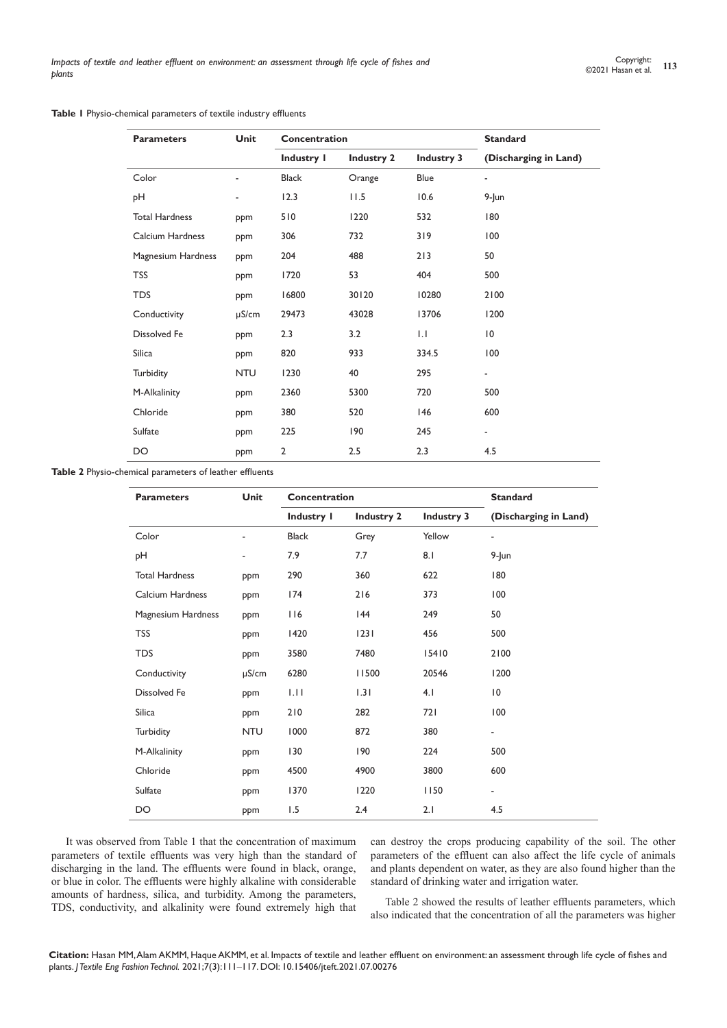#### **Table 1** Physio-chemical parameters of textile industry effluents

| <b>Parameters</b>     | Unit       | Concentration  |                   | <b>Standard</b>   |                          |
|-----------------------|------------|----------------|-------------------|-------------------|--------------------------|
|                       |            | Industry I     | <b>Industry 2</b> | <b>Industry 3</b> | (Discharging in Land)    |
| Color                 |            | <b>Black</b>   | Orange            | Blue              | $\overline{\phantom{0}}$ |
| pH                    |            | 12.3           | 11.5              | 10.6              | $9$ -Jun                 |
| <b>Total Hardness</b> | ppm        | 510            | 1220              | 532               | 180                      |
| Calcium Hardness      | ppm        | 306            | 732               | 319               | 100                      |
| Magnesium Hardness    | ppm        | 204            | 488               | 213               | 50                       |
| <b>TSS</b>            | ppm        | 1720           | 53                | 404               | 500                      |
| <b>TDS</b>            | ppm        | 16800          | 30120             | 10280             | 2100                     |
| Conductivity          | $\mu$ S/cm | 29473          | 43028             | 13706             | 1200                     |
| <b>Dissolved Fe</b>   | ppm        | 2.3            | 3.2               | $  \cdot  $       | $\overline{10}$          |
| Silica                | ppm        | 820            | 933               | 334.5             | 100                      |
| Turbidity             | <b>NTU</b> | 1230           | 40                | 295               | $\overline{\phantom{0}}$ |
| M-Alkalinity          | ppm        | 2360           | 5300              | 720               | 500                      |
| Chloride              | ppm        | 380            | 520               | 146               | 600                      |
| Sulfate               | ppm        | 225            | 190               | 245               | ۰                        |
| DO                    | ppm        | $\overline{2}$ | 2.5               | 2.3               | 4.5                      |

**Table 2** Physio-chemical parameters of leather effluents

| <b>Parameters</b>     | Unit       | Concentration |                   |                   | <b>Standard</b>          |  |
|-----------------------|------------|---------------|-------------------|-------------------|--------------------------|--|
|                       |            | Industry I    | <b>Industry 2</b> | <b>Industry 3</b> | (Discharging in Land)    |  |
| Color                 |            | <b>Black</b>  | Grey              | Yellow            | $\overline{\phantom{a}}$ |  |
| pН                    |            | 7.9           | 7.7               | 8.1               | $9$ -Jun                 |  |
| <b>Total Hardness</b> | ppm        | 290           | 360               | 622               | 180                      |  |
| Calcium Hardness      | ppm        | 174           | 216               | 373               | 100                      |  |
| Magnesium Hardness    | ppm        | 116           | 44                | 249               | 50                       |  |
| <b>TSS</b>            | ppm        | 1420          | 1231              | 456               | 500                      |  |
| TDS                   | ppm        | 3580          | 7480              | 15410             | 2100                     |  |
| Conductivity          | $\mu$ S/cm | 6280          | 11500             | 20546             | 1200                     |  |
| Dissolved Fe          | ppm        | 1.11          | 1.31              | 4.1               | $\overline{10}$          |  |
| Silica                | ppm        | 210           | 282               | 721               | 100                      |  |
| Turbidity             | <b>NTU</b> | 1000          | 872               | 380               | $\overline{\phantom{a}}$ |  |
| M-Alkalinity          | ppm        | 130           | 190               | 224               | 500                      |  |
| Chloride              | ppm        | 4500          | 4900              | 3800              | 600                      |  |
| Sulfate               | ppm        | 1370          | 1220              | 1150              | $\overline{\phantom{a}}$ |  |
| DO                    | ppm        | 1.5           | 2.4               | 2.1               | 4.5                      |  |

It was observed from Table 1 that the concentration of maximum parameters of textile effluents was very high than the standard of discharging in the land. The effluents were found in black, orange, or blue in color. The effluents were highly alkaline with considerable amounts of hardness, silica, and turbidity. Among the parameters, TDS, conductivity, and alkalinity were found extremely high that

can destroy the crops producing capability of the soil. The other parameters of the effluent can also affect the life cycle of animals and plants dependent on water, as they are also found higher than the standard of drinking water and irrigation water.

Table 2 showed the results of leather effluents parameters, which also indicated that the concentration of all the parameters was higher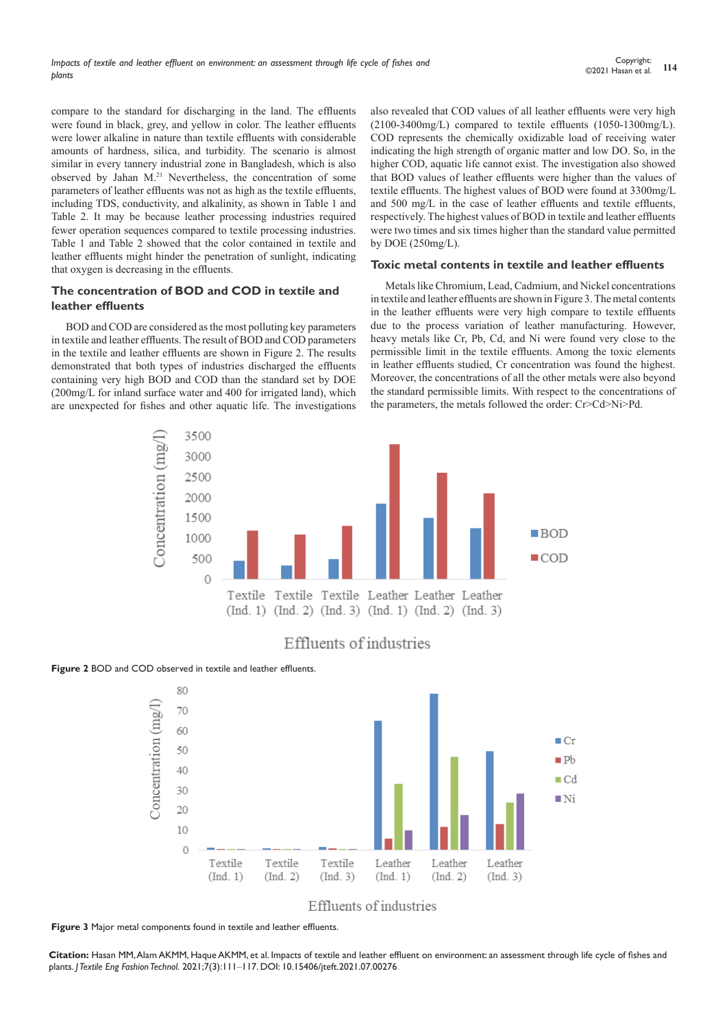compare to the standard for discharging in the land. The effluents were found in black, grey, and yellow in color. The leather effluents were lower alkaline in nature than textile effluents with considerable amounts of hardness, silica, and turbidity. The scenario is almost similar in every tannery industrial zone in Bangladesh, which is also observed by Jahan M.<sup>21</sup> Nevertheless, the concentration of some parameters of leather effluents was not as high as the textile effluents, including TDS, conductivity, and alkalinity, as shown in Table 1 and Table 2. It may be because leather processing industries required fewer operation sequences compared to textile processing industries. Table 1 and Table 2 showed that the color contained in textile and leather effluents might hinder the penetration of sunlight, indicating that oxygen is decreasing in the effluents.

# **The concentration of BOD and COD in textile and leather effluents**

BOD and COD are considered as the most polluting key parameters in textile and leather effluents. The result of BOD and COD parameters in the textile and leather effluents are shown in Figure 2. The results demonstrated that both types of industries discharged the effluents containing very high BOD and COD than the standard set by DOE (200mg/L for inland surface water and 400 for irrigated land), which are unexpected for fishes and other aquatic life. The investigations also revealed that COD values of all leather effluents were very high (2100-3400mg/L) compared to textile effluents (1050-1300mg/L). COD represents the chemically oxidizable load of receiving water indicating the high strength of organic matter and low DO. So, in the higher COD, aquatic life cannot exist. The investigation also showed that BOD values of leather effluents were higher than the values of textile effluents. The highest values of BOD were found at 3300mg/L and 500 mg/L in the case of leather effluents and textile effluents, respectively. The highest values of BOD in textile and leather effluents were two times and six times higher than the standard value permitted by DOE (250mg/L).

#### **Toxic metal contents in textile and leather effluents**

Metals like Chromium, Lead, Cadmium, and Nickel concentrations in textile and leather effluents are shown in Figure 3. The metal contents in the leather effluents were very high compare to textile effluents due to the process variation of leather manufacturing. However, heavy metals like Cr, Pb, Cd, and Ni were found very close to the permissible limit in the textile effluents. Among the toxic elements in leather effluents studied, Cr concentration was found the highest. Moreover, the concentrations of all the other metals were also beyond the standard permissible limits. With respect to the concentrations of the parameters, the metals followed the order: Cr>Cd>Ni>Pd.



# Effluents of industries

#### **Figure 2** BOD and COD observed in textile and leather effluents.



Effluents of industries

**Figure 3** Major metal components found in textile and leather effluents.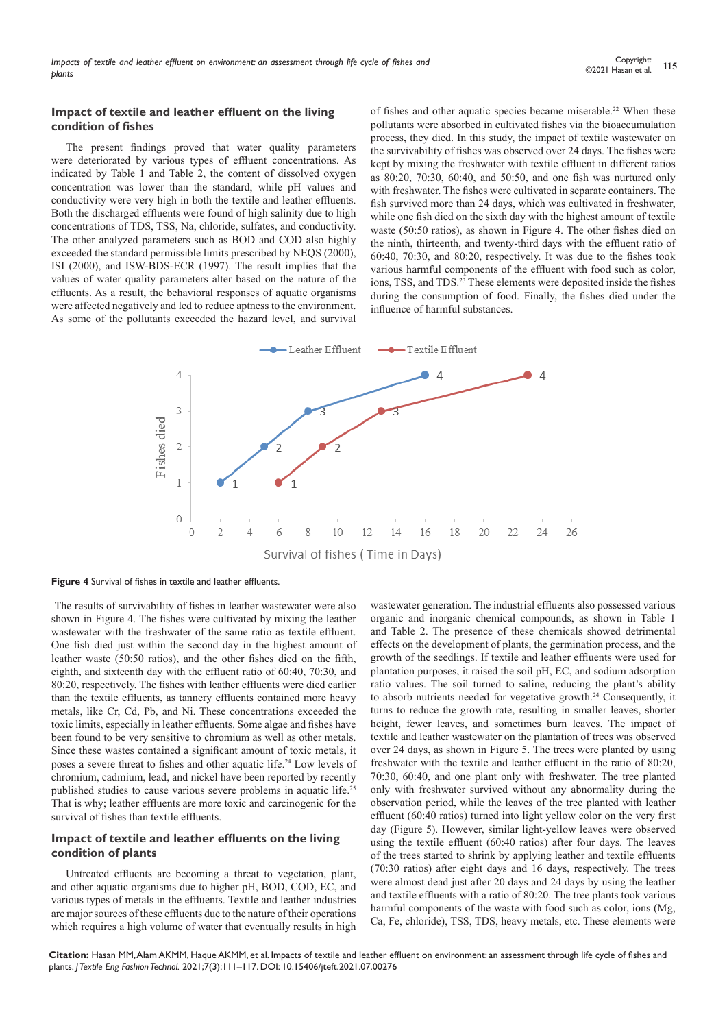#### **Impact of textile and leather effluent on the living condition of fishes**

The present findings proved that water quality parameters were deteriorated by various types of effluent concentrations. As indicated by Table 1 and Table 2, the content of dissolved oxygen concentration was lower than the standard, while pH values and conductivity were very high in both the textile and leather effluents. Both the discharged effluents were found of high salinity due to high concentrations of TDS, TSS, Na, chloride, sulfates, and conductivity. The other analyzed parameters such as BOD and COD also highly exceeded the standard permissible limits prescribed by NEQS (2000), ISI (2000), and ISW-BDS-ECR (1997). The result implies that the values of water quality parameters alter based on the nature of the effluents. As a result, the behavioral responses of aquatic organisms were affected negatively and led to reduce aptness to the environment. As some of the pollutants exceeded the hazard level, and survival of fishes and other aquatic species became miserable.<sup>22</sup> When these pollutants were absorbed in cultivated fishes via the bioaccumulation process, they died. In this study, the impact of textile wastewater on the survivability of fishes was observed over 24 days. The fishes were kept by mixing the freshwater with textile effluent in different ratios as 80:20, 70:30, 60:40, and 50:50, and one fish was nurtured only with freshwater. The fishes were cultivated in separate containers. The fish survived more than 24 days, which was cultivated in freshwater, while one fish died on the sixth day with the highest amount of textile waste (50:50 ratios), as shown in Figure 4. The other fishes died on the ninth, thirteenth, and twenty-third days with the effluent ratio of 60:40, 70:30, and 80:20, respectively. It was due to the fishes took various harmful components of the effluent with food such as color, ions, TSS, and TDS.<sup>23</sup> These elements were deposited inside the fishes during the consumption of food. Finally, the fishes died under the influence of harmful substances.



**Figure 4** Survival of fishes in textile and leather effluents.

The results of survivability of fishes in leather wastewater were also shown in Figure 4. The fishes were cultivated by mixing the leather wastewater with the freshwater of the same ratio as textile effluent. One fish died just within the second day in the highest amount of leather waste (50:50 ratios), and the other fishes died on the fifth, eighth, and sixteenth day with the effluent ratio of 60:40, 70:30, and 80:20, respectively. The fishes with leather effluents were died earlier than the textile effluents, as tannery effluents contained more heavy metals, like Cr, Cd, Pb, and Ni. These concentrations exceeded the toxic limits, especially in leather effluents. Some algae and fishes have been found to be very sensitive to chromium as well as other metals. Since these wastes contained a significant amount of toxic metals, it poses a severe threat to fishes and other aquatic life.<sup>24</sup> Low levels of chromium, cadmium, lead, and nickel have been reported by recently published studies to cause various severe problems in aquatic life.25 That is why; leather effluents are more toxic and carcinogenic for the survival of fishes than textile effluents.

#### **Impact of textile and leather effluents on the living condition of plants**

Untreated effluents are becoming a threat to vegetation, plant, and other aquatic organisms due to higher pH, BOD, COD, EC, and various types of metals in the effluents. Textile and leather industries are major sources of these effluents due to the nature of their operations which requires a high volume of water that eventually results in high wastewater generation. The industrial effluents also possessed various organic and inorganic chemical compounds, as shown in Table 1 and Table 2. The presence of these chemicals showed detrimental effects on the development of plants, the germination process, and the growth of the seedlings. If textile and leather effluents were used for plantation purposes, it raised the soil pH, EC, and sodium adsorption ratio values. The soil turned to saline, reducing the plant's ability to absorb nutrients needed for vegetative growth.<sup>24</sup> Consequently, it turns to reduce the growth rate, resulting in smaller leaves, shorter height, fewer leaves, and sometimes burn leaves. The impact of textile and leather wastewater on the plantation of trees was observed over 24 days, as shown in Figure 5. The trees were planted by using freshwater with the textile and leather effluent in the ratio of 80:20, 70:30, 60:40, and one plant only with freshwater. The tree planted only with freshwater survived without any abnormality during the observation period, while the leaves of the tree planted with leather effluent (60:40 ratios) turned into light yellow color on the very first day (Figure 5). However, similar light-yellow leaves were observed using the textile effluent (60:40 ratios) after four days. The leaves of the trees started to shrink by applying leather and textile effluents (70:30 ratios) after eight days and 16 days, respectively. The trees were almost dead just after 20 days and 24 days by using the leather and textile effluents with a ratio of 80:20. The tree plants took various harmful components of the waste with food such as color, ions (Mg, Ca, Fe, chloride), TSS, TDS, heavy metals, etc. These elements were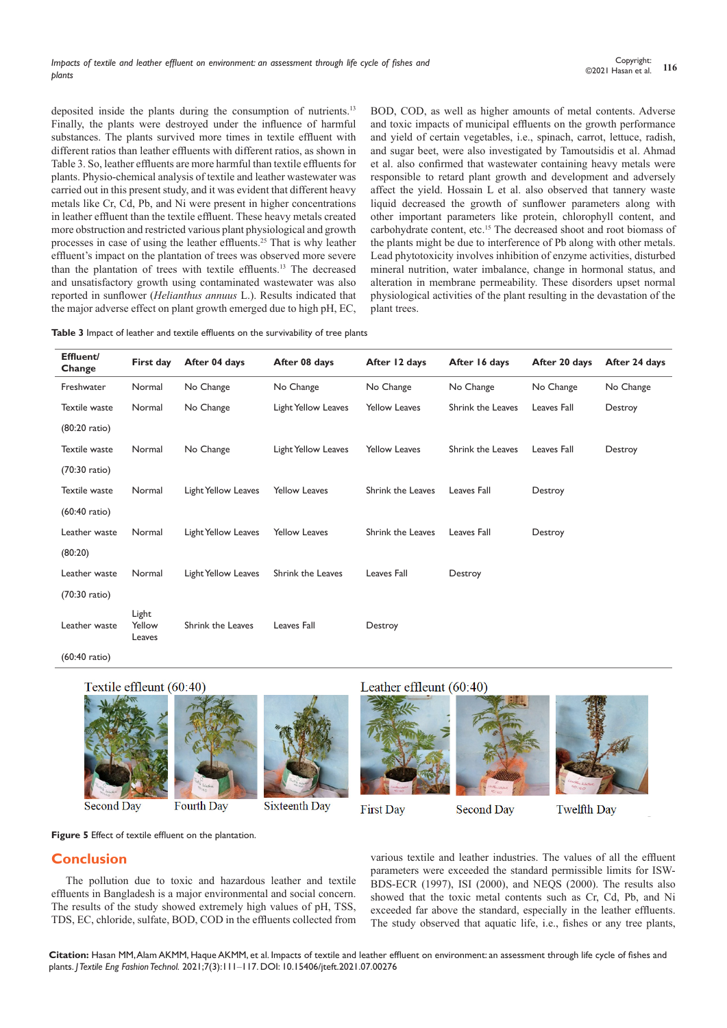deposited inside the plants during the consumption of nutrients.<sup>13</sup> Finally, the plants were destroyed under the influence of harmful substances. The plants survived more times in textile effluent with different ratios than leather effluents with different ratios, as shown in Table 3. So, leather effluents are more harmful than textile effluents for plants. Physio-chemical analysis of textile and leather wastewater was carried out in this present study, and it was evident that different heavy metals like Cr, Cd, Pb, and Ni were present in higher concentrations in leather effluent than the textile effluent. These heavy metals created more obstruction and restricted various plant physiological and growth processes in case of using the leather effluents.25 That is why leather effluent's impact on the plantation of trees was observed more severe than the plantation of trees with textile effluents.13 The decreased and unsatisfactory growth using contaminated wastewater was also reported in sunflower (*Helianthus annuus* L.). Results indicated that the major adverse effect on plant growth emerged due to high pH, EC, BOD, COD, as well as higher amounts of metal contents. Adverse and toxic impacts of municipal effluents on the growth performance and yield of certain vegetables, i.e., spinach, carrot, lettuce, radish, and sugar beet, were also investigated by Tamoutsidis et al. Ahmad et al. also confirmed that wastewater containing heavy metals were responsible to retard plant growth and development and adversely affect the yield. Hossain L et al. also observed that tannery waste liquid decreased the growth of sunflower parameters along with other important parameters like protein, chlorophyll content, and carbohydrate content, etc.15 The decreased shoot and root biomass of the plants might be due to interference of Pb along with other metals. Lead phytotoxicity involves inhibition of enzyme activities, disturbed mineral nutrition, water imbalance, change in hormonal status, and alteration in membrane permeability. These disorders upset normal physiological activities of the plant resulting in the devastation of the plant trees.

**Table 3** Impact of leather and textile effluents on the survivability of tree plants

| Effluent/<br>Change     | First day                 | After 04 days              | After 08 days        | After 12 days        | After 16 days     | After 20 days | After 24 days |
|-------------------------|---------------------------|----------------------------|----------------------|----------------------|-------------------|---------------|---------------|
| Freshwater              | Normal                    | No Change                  | No Change            | No Change            | No Change         | No Change     | No Change     |
| Textile waste           | Normal                    | No Change                  | Light Yellow Leaves  | <b>Yellow Leaves</b> | Shrink the Leaves | Leaves Fall   | Destroy       |
| (80:20 ratio)           |                           |                            |                      |                      |                   |               |               |
| Textile waste           | Normal                    | No Change                  | Light Yellow Leaves  | <b>Yellow Leaves</b> | Shrink the Leaves | Leaves Fall   | Destroy       |
| (70:30 ratio)           |                           |                            |                      |                      |                   |               |               |
| Textile waste           | Normal                    | <b>Light Yellow Leaves</b> | <b>Yellow Leaves</b> | Shrink the Leaves    | Leaves Fall       | Destroy       |               |
| $(60:40 \text{ ratio})$ |                           |                            |                      |                      |                   |               |               |
| Leather waste           | Normal                    | Light Yellow Leaves        | <b>Yellow Leaves</b> | Shrink the Leaves    | Leaves Fall       | Destroy       |               |
| (80:20)                 |                           |                            |                      |                      |                   |               |               |
| Leather waste           | Normal                    | Light Yellow Leaves        | Shrink the Leaves    | Leaves Fall          | Destroy           |               |               |
| (70:30 ratio)           |                           |                            |                      |                      |                   |               |               |
| Leather waste           | Light<br>Yellow<br>Leaves | Shrink the Leaves          | Leaves Fall          | Destroy              |                   |               |               |
| $(60:40 \text{ ratio})$ |                           |                            |                      |                      |                   |               |               |

Textile effleunt (60:40)



**Second Day** 

**Fourth Day** 

**Sixteenth Day** 

Leather effleunt (60:40)



**Second Day** 

**Twelfth Dav** 

**Figure 5** Effect of textile effluent on the plantation.

# **Conclusion**

The pollution due to toxic and hazardous leather and textile effluents in Bangladesh is a major environmental and social concern. The results of the study showed extremely high values of pH, TSS, TDS, EC, chloride, sulfate, BOD, COD in the effluents collected from

various textile and leather industries. The values of all the effluent parameters were exceeded the standard permissible limits for ISW-BDS-ECR (1997), ISI (2000), and NEQS (2000). The results also showed that the toxic metal contents such as Cr, Cd, Pb, and Ni exceeded far above the standard, especially in the leather effluents. The study observed that aquatic life, i.e., fishes or any tree plants,

**Citation:** Hasan MM, Alam AKMM, Haque AKMM, et al. Impacts of textile and leather effluent on environment: an assessment through life cycle of fishes and plants. *J Textile Eng Fashion Technol.* 2021;7(3):111‒117. DOI: [10.15406/jteft.2021.07.00276](https://doi.org/10.15406/jteft.2021.07.00276)

**First Day**